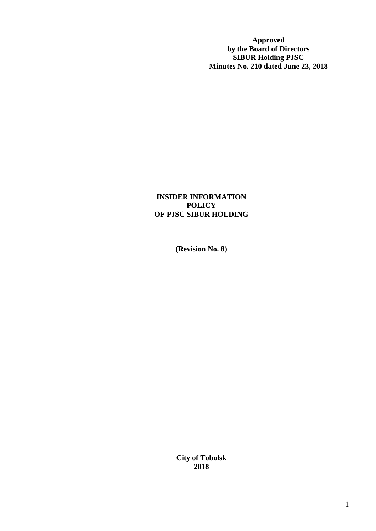**Approved by the Board of Directors SIBUR Holding PJSC Minutes No. 210 dated June 23, 2018**

#### **INSIDER INFORMATION POLICY OF PJSC SIBUR HOLDING**

**(Revision No. 8)**

**City of Tobolsk 2018**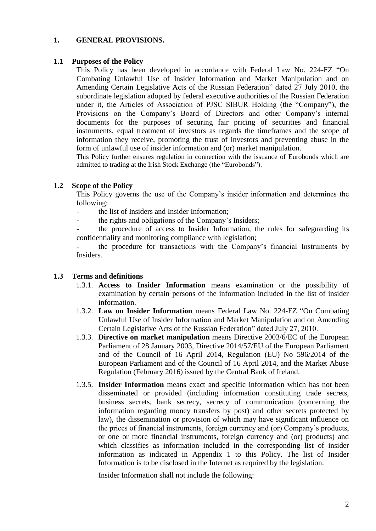#### **1. GENERAL PROVISIONS.**

#### **1.1 Purposes of the Policy**

This Policy has been developed in accordance with Federal Law No. 224-FZ "On Combating Unlawful Use of Insider Information and Market Manipulation and on Amending Certain Legislative Acts of the Russian Federation" dated 27 July 2010, the subordinate legislation adopted by federal executive authorities of the Russian Federation under it, the Articles of Association of PJSC SIBUR Holding (the "Company"), the Provisions on the Company's Board of Directors and other Company's internal documents for the purposes of securing fair pricing of securities and financial instruments, equal treatment of investors as regards the timeframes and the scope of information they receive, promoting the trust of investors and preventing abuse in the form of unlawful use of insider information and (or) market manipulation.

This Policy further ensures regulation in connection with the issuance of Eurobonds which are admitted to trading at the Irish Stock Exchange (the "Eurobonds").

## **1.2 Scope of the Policy**

This Policy governs the use of the Company's insider information and determines the following:

- the list of Insiders and Insider Information:
	- the rights and obligations of the Company's Insiders;

the procedure of access to Insider Information, the rules for safeguarding its confidentiality and monitoring compliance with legislation;

the procedure for transactions with the Company's financial Instruments by Insiders.

#### **1.3 Terms and definitions**

- 1.3.1. **Access to Insider Information** means examination or the possibility of examination by certain persons of the information included in the list of insider information.
- 1.3.2. **Law on Insider Information** means Federal Law No. 224-FZ "On Combating Unlawful Use of Insider Information and Market Manipulation and on Amending Certain Legislative Acts of the Russian Federation" dated July 27, 2010.
- 1.3.3. **Directive on market manipulation** means Directive 2003/6/EC of the European Parliament of 28 January 2003, Directive 2014/57/EU of the European Parliament and of the Council of 16 April 2014, Regulation (EU) No 596/2014 of the European Parliament and of the Council of 16 April 2014, and the Market Abuse Regulation (February 2016) issued by the Central Bank of Ireland.
- 1.3.5. **Insider Information** means exact and specific information which has not been disseminated or provided (including [information](consultantplus://offline/ref=6A4B81A8A9EB2CD1FB103FD9E01AFFDE6311CDDC6EDF56841703729BqAi1O) constituting trade secrets, business secrets, bank secrecy, secrecy of communication (concerning the information regarding money transfers by post) and other secrets protected by law), the dissemination or provision of which may have significant influence on the prices of financial instruments, foreign currency and (or) Company's products, or one or more financial instruments, foreign currency and (or) products) and which classifies as information included in the corresponding list of insider information as indicated in [Appendix](consultantplus://offline/ref=6A4B81A8A9EB2CD1FB103FD9E01AFFDE6B14C2D76FD40B8E1F5A7E99A63F15C9F51E9B8DD09C7792qCi8O) 1 to this Policy. The list of Insider Information is to be disclosed in the Internet as required by the legislation.

Insider Information shall not include the following: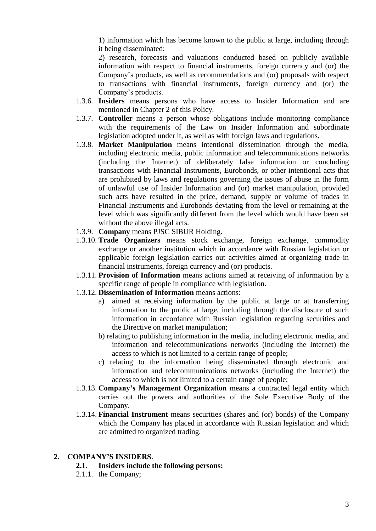1) information which has become known to the public at large, including through it being disseminated;

2) research, forecasts and valuations conducted based on publicly available information with respect to financial instruments, foreign currency and (or) the Company's products, as well as recommendations and (or) proposals with respect to transactions with financial instruments, foreign currency and (or) the Company's products.

- 1.3.6. **Insiders** means persons who have access to Insider Information and are mentioned in Chapter 2 of this Policy.
- 1.3.7. **Controller** means a person whose obligations include monitoring compliance with the requirements of the Law on Insider Information and subordinate legislation adopted under it, as well as with foreign laws and regulations.
- 1.3.8. **Market Manipulation** means intentional dissemination through the media, including electronic media, public information and telecommunications networks (including the Internet) of deliberately false information or concluding transactions with Financial Instruments, Eurobonds, or other intentional acts that are prohibited by laws and regulations governing the issues of abuse in the form of unlawful use of Insider Information and (or) market manipulation, provided such acts have resulted in the price, demand, supply or volume of trades in Financial Instruments and Eurobonds deviating from the level or remaining at the level which was significantly different from the level which would have been set without the above illegal acts.
- 1.3.9. **Company** means PJSC SIBUR Holding.
- 1.3.10. **Trade Organizers** means stock exchange, foreign exchange, commodity exchange or another institution which in accordance with Russian legislation or applicable foreign legislation carries out activities aimed at organizing trade in financial instruments, foreign currency and (or) products.
- 1.3.11. **Provision of Information** means actions aimed at receiving of information by a specific range of people in compliance with legislation.
- 1.3.12. **Dissemination of Information** means actions:
	- a) aimed at receiving information by the public at large or at transferring information to the public at large, including through the disclosure of such information in accordance with Russian [legislation](consultantplus://offline/ref=32C5B5F3735379F4715AC33896D6880A9A34D02C91013EFDD72AD1A0C73AF5C014FC160DE6F77BCE73L2H) regarding securities and the Directive on market manipulation;
	- b) relating to publishing information in the media, including electronic media, and information and telecommunications networks (including the Internet) the access to which is not limited to a certain range of people;
	- c) relating to the information being disseminated through electronic and information and telecommunications networks (including the Internet) the access to which is not limited to a certain range of people;
- 1.3.13. **Company's Management Organization** means a contracted legal entity which carries out the powers and authorities of the Sole Executive Body of the Company.
- 1.3.14. **Financial Instrument** means securities (shares and (or) bonds) of the Company which the Company has placed in accordance with Russian legislation and which are admitted to organized trading.

#### **2. COMPANY'S INSIDERS**.

- **2.1. Insiders include the following persons:**
- 2.1.1. the Company;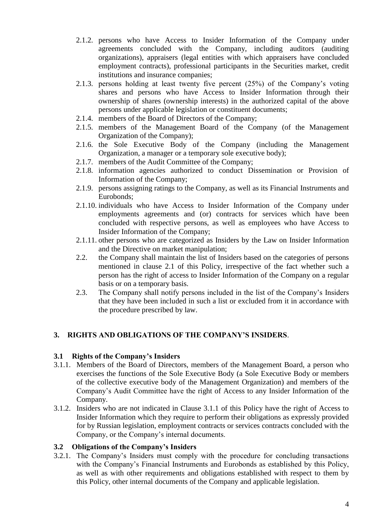- 2.1.2. persons who have Access to Insider Information of the Company under agreements concluded with the Company, including auditors (auditing organizations), appraisers (legal entities with which appraisers have concluded employment contracts), professional participants in the Securities market, credit institutions and insurance companies;
- 2.1.3. persons holding at least twenty five percent (25%) of the Company's voting shares and persons who have Access to Insider Information through their ownership of shares (ownership interests) in the authorized capital of the above persons under applicable legislation or constituent documents;
- 2.1.4. members of the Board of Directors of the Company;
- 2.1.5. members of the Management Board of the Company (of the Management Organization of the Company);
- 2.1.6. the Sole Executive Body of the Company (including the Management Organization, a manager or a temporary sole executive body);
- 2.1.7. members of the Audit Committee of the Company;
- 2.1.8. information agencies authorized to conduct Dissemination or Provision of Information of the Company;
- 2.1.9. persons assigning ratings to the Company, as well as its Financial Instruments and Eurobonds;
- 2.1.10. individuals who have Access to Insider Information of the Company under employments agreements and (or) contracts for services which have been concluded with respective persons, as well as employees who have Access to Insider Information of the Company;
- 2.1.11. other persons who are categorized as Insiders by the Law on Insider Information and the Directive on market manipulation;
- 2.2. the Company shall maintain the list of Insiders based on the categories of persons mentioned in clause 2.1 of this Policy, irrespective of the fact whether such a person has the right of access to Insider Information of the Company on a regular basis or on a temporary basis.
- 2.3. The Company shall notify persons included in the list of the Company's Insiders that they have been included in such a list or excluded from it in accordance with the [procedure](consultantplus://offline/ref=862619E594DD8CA6479675E19482A72DBA5131457103F1EDCCD725CEE8C9C7CC66ECB7FCCFC06C9FP1a3Q) prescribed by law.

# **3. RIGHTS AND OBLIGATIONS OF THE COMPANY'S INSIDERS**.

#### **3.1 Rights of the Company's Insiders**

- 3.1.1. Members of the Board of Directors, members of the Management Board, a person who exercises the functions of the Sole Executive Body (a Sole Executive Body or members of the collective executive body of the Management Organization) and members of the Company's Audit Committee have the right of Access to any Insider Information of the Company.
- 3.1.2. Insiders who are not indicated in Clause 3.1.1 of this Policy have the right of Access to Insider Information which they require to perform their obligations as expressly provided for by Russian legislation, employment contracts or services contracts concluded with the Company, or the Company's internal documents.

#### **3.2 Obligations of the Company's Insiders**

3.2.1. The Company's Insiders must comply with the procedure for concluding transactions with the Company's Financial Instruments and Eurobonds as established by this Policy, as well as with other requirements and obligations established with respect to them by this Policy, other internal documents of the Company and applicable legislation.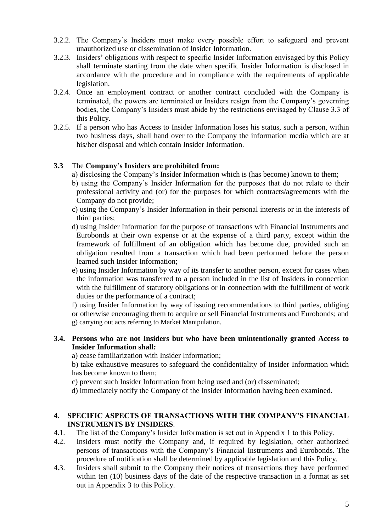- 3.2.2. The Company's Insiders must make every possible effort to safeguard and prevent unauthorized use or dissemination of Insider Information.
- 3.2.3. Insiders' obligations with respect to specific Insider Information envisaged by this Policy shall terminate starting from the date when specific Insider Information is disclosed in accordance with the procedure and in compliance with the requirements of applicable legislation.
- 3.2.4. Once an employment contract or another contract concluded with the Company is terminated, the powers are terminated or Insiders resign from the Company's governing bodies, the Company's Insiders must abide by the restrictions envisaged by Clause 3.3 of this Policy.
- 3.2.5. If a person who has Access to Insider Information loses his status, such a person, within two business days, shall hand over to the Company the information media which are at his/her disposal and which contain Insider Information.

## **3.3** The **Company's Insiders are prohibited from:**

- a) disclosing the Company's Insider Information which is (has become) known to them;
- b) using the Company's Insider Information for the purposes that do not relate to their professional activity and (or) for the purposes for which contracts/agreements with the Company do not provide;
- c) using the Company's Insider Information in their personal interests or in the interests of third parties;
- d) using Insider Information for the purpose of transactions with Financial Instruments and Eurobonds at their own expense or at the expense of a third party, except within the framework of fulfillment of an obligation which has become due, provided such an obligation resulted from a transaction which had been performed before the person learned such Insider Information;
- e) using Insider Information by way of its transfer to another person, except for cases when the information was transferred to a person included in the list of Insiders in connection with the fulfillment of statutory obligations or in connection with the fulfillment of work duties or the performance of a contract;

f) using Insider Information by way of issuing recommendations to third parties, obliging or otherwise encouraging them to acquire or sell Financial Instruments and Eurobonds; and g) carrying out acts referring to Market Manipulation.

#### **3.4. Persons who are not Insiders but who have been unintentionally granted Access to Insider Information shall:**

a) cease familiarization with Insider Information;

b) take exhaustive measures to safeguard the confidentiality of Insider Information which has become known to them;

- c) prevent such Insider Information from being used and (or) disseminated;
- d) immediately notify the Company of the Insider Information having been examined.

#### **4. SPECIFIC ASPECTS OF TRANSACTIONS WITH THE COMPANY'S FINANCIAL INSTRUMENTS BY INSIDERS**.

- 4.1. The list of the Company's Insider Information is set out in Appendix 1 to this Policy.
- 4.2. Insiders must notify the Company and, if required by legislation, other authorized persons of transactions with the Company's Financial Instruments and Eurobonds. The procedure of notification shall be determined by applicable legislation and this Policy.
- 4.3. Insiders shall submit to the Company their notices of transactions they have performed within ten (10) business days of the date of the respective transaction in a format as set out in Appendix 3 to this Policy.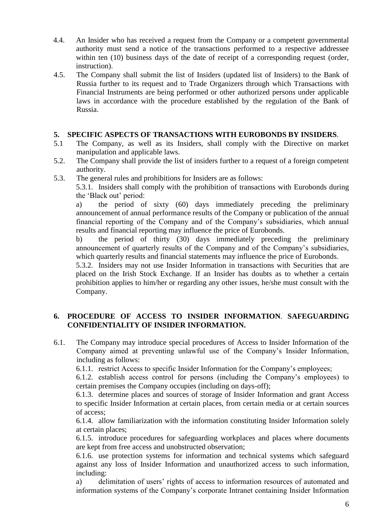- 4.4. An Insider who has received a request from the Company or a competent governmental authority must send a notice of the transactions performed to a respective addressee within ten (10) business days of the date of receipt of a corresponding request (order, instruction).
- 4.5. The Company shall submit the list of Insiders (updated list of Insiders) to the Bank of Russia further to its request and to Trade Organizers through which Transactions with Financial Instruments are being performed or other authorized persons under applicable laws in accordance with the procedure established by the regulation of the Bank of Russia.

#### **5. SPECIFIC ASPECTS OF TRANSACTIONS WITH EUROBONDS BY INSIDERS**.

- 5.1 The Company, as well as its Insiders, shall comply with the Directive on market manipulation and applicable laws.
- 5.2. The Company shall provide the list of insiders further to a request of a foreign competent authority.
- 5.3. The general rules and prohibitions for Insiders are as follows:

5.3.1. Insiders shall comply with the prohibition of transactions with Eurobonds during the 'Black out' period:

a) the period of sixty (60) days immediately preceding the preliminary announcement of annual performance results of the Company or publication of the annual financial reporting of the Company and of the Company's subsidiaries, which annual results and financial reporting may influence the price of Eurobonds.

b) the period of thirty (30) days immediately preceding the preliminary announcement of quarterly results of the Company and of the Company's subsidiaries, which quarterly results and financial statements may influence the price of Eurobonds.

5.3.2. Insiders may not use Insider Information in transactions with Securities that are placed on the Irish Stock Exchange. If an Insider has doubts as to whether a certain prohibition applies to him/her or regarding any other issues, he/she must consult with the Company.

## **6. PROCEDURE OF ACCESS TO INSIDER INFORMATION**. **SAFEGUARDING CONFIDENTIALITY OF INSIDER INFORMATION.**

6.1. The Company may introduce special procedures of Access to Insider Information of the Company aimed at preventing unlawful use of the Company's Insider Information, including as follows:

6.1.1. restrict Access to specific Insider Information for the Company's employees;

6.1.2. establish access control for persons (including the Company's employees) to certain premises the Company occupies (including on days-off);

6.1.3. determine places and sources of storage of Insider Information and grant Access to specific Insider Information at certain places, from certain media or at certain sources of access;

6.1.4. allow familiarization with the information constituting Insider Information solely at certain places;

6.1.5. introduce procedures for safeguarding workplaces and places where documents are kept from free access and unobstructed observation;

6.1.6. use protection systems for information and technical systems which safeguard against any loss of Insider Information and unauthorized access to such information, including:

a) delimitation of users' rights of access to information resources of automated and information systems of the Company's corporate Intranet containing Insider Information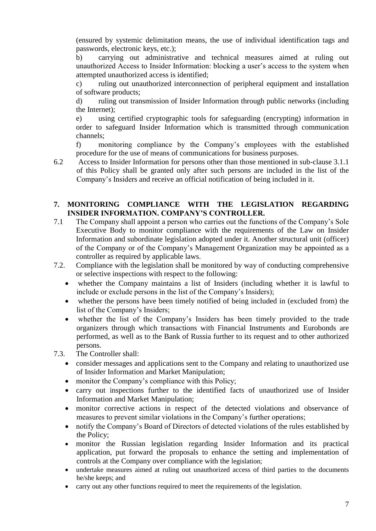(ensured by systemic delimitation means, the use of individual identification tags and passwords, electronic keys, etc.);

b) carrying out administrative and technical measures aimed at ruling out unauthorized Access to Insider Information: blocking a user's access to the system when attempted unauthorized access is identified;

c) ruling out unauthorized interconnection of peripheral equipment and installation of software products;

d) ruling out transmission of Insider Information through public networks (including the Internet);

e) using certified cryptographic tools for safeguarding (encrypting) information in order to safeguard Insider Information which is transmitted through communication channels;

f) monitoring compliance by the Company's employees with the established procedure for the use of means of communications for business purposes.

6.2 Access to Insider Information for persons other than those mentioned in sub-clause 3.1.1 of this Policy shall be granted only after such persons are included in the list of the Company's Insiders and receive an official notification of being included in it.

#### **7. MONITORING COMPLIANCE WITH THE LEGISLATION REGARDING INSIDER INFORMATION. COMPANY'S CONTROLLER.**

- 7.1 The Company shall appoint a person who carries out the functions of the Company's Sole Executive Body to monitor compliance with the requirements of the Law on Insider Information and subordinate legislation adopted under it. Another structural unit (officer) of the Company or of the Company's Management Organization may be appointed as a controller as required by applicable laws.
- 7.2. Compliance with the legislation shall be monitored by way of conducting comprehensive or selective inspections with respect to the following:
	- whether the Company maintains a list of Insiders (including whether it is lawful to include or exclude persons in the list of the Company's Insiders);
	- whether the persons have been timely notified of being included in (excluded from) the list of the Company's Insiders;
	- whether the list of the Company's Insiders has been timely provided to the trade organizers through which transactions with Financial Instruments and Eurobonds are performed, as well as to the Bank of Russia further to its request and to other authorized persons.
- 7.3. The Controller shall:
	- consider messages and applications sent to the Company and relating to unauthorized use of Insider Information and Market Manipulation;
	- monitor the Company's compliance with this Policy;
	- carry out inspections further to the identified facts of unauthorized use of Insider Information and Market Manipulation;
	- monitor corrective actions in respect of the detected violations and observance of measures to prevent similar violations in the Company's further operations;
	- notify the Company's Board of Directors of detected violations of the rules established by the Policy;
	- monitor the Russian legislation regarding Insider Information and its practical application, put forward the proposals to enhance the setting and implementation of controls at the Company over compliance with the legislation;
	- undertake measures aimed at ruling out unauthorized access of third parties to the documents he/she keeps; and
	- carry out any other functions required to meet the requirements of the legislation.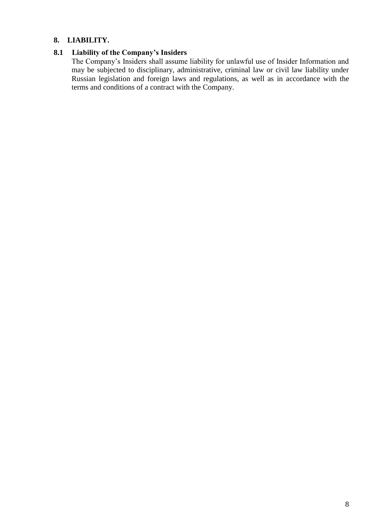#### **8. LIABILITY.**

# **8.1 Liability of the Company's Insiders**

The Company's Insiders shall assume liability for unlawful use of Insider Information and may be subjected to disciplinary, administrative, criminal law or civil law liability under Russian legislation and foreign laws and regulations, as well as in accordance with the terms and conditions of a contract with the Company.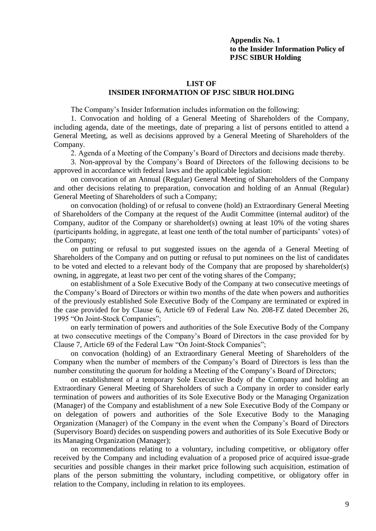#### **Appendix No. 1 to the Insider Information Policy of PJSC SIBUR Holding**

#### **LIST OF**

#### **INSIDER INFORMATION OF PJSC SIBUR HOLDING**

The Company's Insider Information includes information on the following:

1. Convocation and holding of a General Meeting of Shareholders of the Company, including agenda, date of the meetings, date of preparing a list of persons entitled to attend a General Meeting, as well as decisions approved by a General Meeting of Shareholders of the Company.

2. Agenda of a Meeting of the Company's Board of Directors and decisions made thereby.

3. Non-approval by the Company's Board of Directors of the following decisions to be approved in accordance with federal laws and the applicable legislation:

on convocation of an Annual (Regular) General Meeting of Shareholders of the Company and other decisions relating to preparation, convocation and holding of an Annual (Regular) General Meeting of Shareholders of such a Company;

on convocation (holding) of or refusal to convene (hold) an Extraordinary General Meeting of Shareholders of the Company at the request of the Audit Committee (internal auditor) of the Company, auditor of the Company or shareholder(s) owning at least 10% of the voting shares (participants holding, in aggregate, at least one tenth of the total number of participants' votes) of the Company;

on putting or refusal to put suggested issues on the agenda of a General Meeting of Shareholders of the Company and on putting or refusal to put nominees on the list of candidates to be voted and elected to a relevant body of the Company that are proposed by shareholder(s) owning, in aggregate, at least two per cent of the voting shares of the Company;

on establishment of a Sole Executive Body of the Company at two consecutive meetings of the Company's Board of Directors or within two months of the date when powers and authorities of the previously established Sole Executive Body of the Company are terminated or expired in the case provided for by [Clause 6, Article 69](consultantplus://offline/ref=F37EE921AB031DAD7F6A15770A15882680112875772150235BD0ED1FA5AF5F666554D3C967E05066sBd4K) of Federal Law No. 208-FZ dated December 26, 1995 "On Joint-Stock Companies";

on early termination of powers and authorities of the Sole Executive Body of the Company at two consecutive meetings of the Company's Board of Directors in the case provided for b[y](consultantplus://offline/ref=F37EE921AB031DAD7F6A15770A15882680112875772150235BD0ED1FA5AF5F666554D3C967E05067sBdFK) [Clause 7, Article 69](consultantplus://offline/ref=F37EE921AB031DAD7F6A15770A15882680112875772150235BD0ED1FA5AF5F666554D3C967E05067sBdFK) of the Federal Law "On Joint-Stock Companies";

on convocation (holding) of an Extraordinary General Meeting of Shareholders of the Company when the number of members of the Company's Board of Directors is less than the number constituting the quorum for holding a Meeting of the Company's Board of Directors;

on establishment of a temporary Sole Executive Body of the Company and holding an Extraordinary General Meeting of Shareholders of such a Company in order to consider early termination of powers and authorities of its Sole Executive Body or the Managing Organization (Manager) of the Company and establishment of a new Sole Executive Body of the Company or on delegation of powers and authorities of the Sole Executive Body to the Managing Organization (Manager) of the Company in the event when the Company's Board of Directors (Supervisory Board) decides on suspending powers and authorities of its Sole Executive Body or its Managing Organization (Manager);

on recommendations relating to a voluntary, including competitive, or obligatory offer received by the Company and including evaluation of a proposed price of acquired issue-grade securities and possible changes in their market price following such acquisition, estimation of plans of the person submitting the voluntary, including competitive, or obligatory offer in relation to the Company, including in relation to its employees.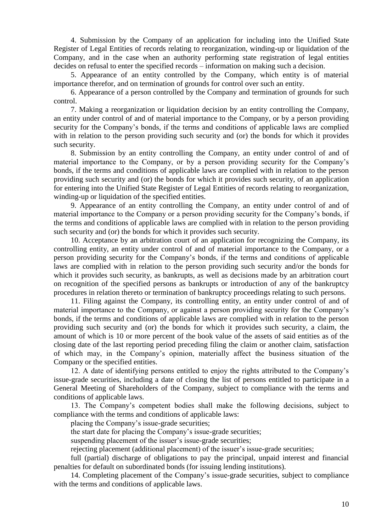4. Submission by the Company of an application for including into the Unified State Register of Legal Entities of records relating to reorganization, winding-up or liquidation of the Company, and in the case when an authority performing state registration of legal entities decides on refusal to enter the specified records – information on making such a decision.

5. Appearance of an entity controlled by the Company, which entity is of material importance therefor, and on termination of grounds for control over such an entity.

6. Appearance of a person controlled by the Company and termination of grounds for such control.

7. Making a reorganization or liquidation decision by an entity controlling the Company, an entity under control of and of material importance to the Company, or by a person providing security for the Company's bonds, if the terms and conditions of applicable laws are complied with in relation to the person providing such security and (or) the bonds for which it provides such security.

8. Submission by an entity controlling the Company, an entity under control of and of material importance to the Company, or by a person providing security for the Company's bonds, if the terms and conditions of applicable laws are complied with in relation to the person providing such security and (or) the bonds for which it provides such security, of an application for entering into the Unified State Register of Legal Entities of records relating to reorganization, winding-up or liquidation of the specified entities.

9. Appearance of an entity controlling the Company, an entity under control of and of material importance to the Company or a person providing security for the Company's bonds, if the terms and conditions of applicable laws are complied with in relation to the person providing such security and (or) the bonds for which it provides such security.

10. Acceptance by an arbitration court of an application for recognizing the Company, its controlling entity, an entity under control of and of material importance to the Company, or a person providing security for the Company's bonds, if the terms and conditions of applicable laws are complied with in relation to the person providing such security and/or the bonds for which it provides such security, as bankrupts, as well as decisions made by an arbitration court on recognition of the specified persons as bankrupts or introduction of any of the bankruptcy procedures in relation thereto or termination of bankruptcy proceedings relating to such persons.

11. Filing against the Company, its controlling entity, an entity under control of and of material importance to the Company, or against a person providing security for the Company's bonds, if the terms and conditions of applicable laws are complied with in relation to the person providing such security and (or) the bonds for which it provides such security, a claim, the amount of which is 10 or more percent of the book value of the assets of said entities as of the closing date of the last reporting period preceding filing the claim or another claim, satisfaction of which may, in the Company's opinion, materially affect the business situation of the Company or the specified entities.

12. A date of identifying persons entitled to enjoy the rights attributed to the Company's issue-grade securities, including a date of closing the list of persons entitled to participate in a General Meeting of Shareholders of the Company, subject to compliance with the terms and conditions of applicable laws.

13. The Company's competent bodies shall make the following decisions, subject to compliance with the terms and conditions of applicable laws:

placing the Company's issue-grade securities;

the start date for placing the Company's issue-grade securities;

suspending placement of the issuer's issue-grade securities;

rejecting placement (additional placement) of the issuer's issue-grade securities;

full (partial) discharge of obligations to pay the principal, unpaid interest and financial penalties for default on subordinated bonds (for issuing lending institutions).

14. Completing placement of the Company's issue-grade securities, subject to compliance with the terms and conditions of applicable laws.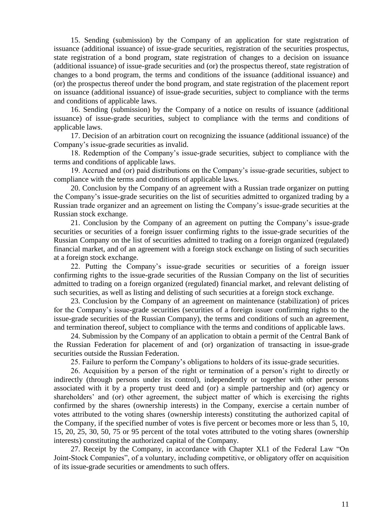15. Sending (submission) by the Company of an application for state registration of issuance (additional issuance) of issue-grade securities, registration of the securities prospectus, state registration of a bond program, state registration of changes to a decision on issuance (additional issuance) of issue-grade securities and (or) the prospectus thereof, state registration of changes to a bond program, the terms and conditions of the issuance (additional issuance) and (or) the prospectus thereof under the bond program, and state registration of the placement report on issuance (additional issuance) of issue-grade securities, subject to compliance with the terms and conditions of applicable laws.

16. Sending (submission) by the Company of a notice on results of issuance (additional issuance) of issue-grade securities, subject to compliance with the terms and conditions of applicable laws.

17. Decision of an arbitration court on recognizing the issuance (additional issuance) of the Company's issue-grade securities as invalid.

18. Redemption of the Company's issue-grade securities, subject to compliance with the terms and conditions of applicable laws.

19. Accrued and (or) paid distributions on the Company's issue-grade securities, subject to compliance with the terms and conditions of applicable laws.

20. Conclusion by the Company of an agreement with a Russian trade organizer on putting the Company's issue-grade securities on the list of securities admitted to organized trading by a Russian trade organizer and an agreement on listing the Company's issue-grade securities at the Russian stock exchange.

21. Conclusion by the Company of an agreement on putting the Company's issue-grade securities or securities of a foreign issuer confirming rights to the issue-grade securities of the Russian Company on the list of securities admitted to trading on a foreign organized (regulated) financial market, and of an agreement with a foreign stock exchange on listing of such securities at a foreign stock exchange.

22. Putting the Company's issue-grade securities or securities of a foreign issuer confirming rights to the issue-grade securities of the Russian Company on the list of securities admitted to trading on a foreign organized (regulated) financial market, and relevant delisting of such securities, as well as listing and delisting of such securities at a foreign stock exchange.

23. Conclusion by the Company of an agreement on maintenance (stabilization) of prices for the Company's issue-grade securities (securities of a foreign issuer confirming rights to the issue-grade securities of the Russian Company), the terms and conditions of such an agreement, and termination thereof, subject to compliance with the terms and conditions of applicable laws.

24. Submission by the Company of an application to obtain a permit of the Central Bank of the Russian Federation for placement of and (or) organization of transacting in issue-grade securities outside the Russian Federation.

25. Failure to perform the Company's obligations to holders of its issue-grade securities.

26. Acquisition by a person of the right or termination of a person's right to directly or indirectly (through persons under its control), independently or together with other persons associated with it by a property trust deed and (or) a simple partnership and (or) agency or shareholders' and (or) other agreement, the subject matter of which is exercising the rights confirmed by the shares (ownership interests) in the Company, exercise a certain number of votes attributed to the voting shares (ownership interests) constituting the authorized capital of the Company, if the specified number of votes is five percent or becomes more or less than 5, 10, 15, 20, 25, 30, 50, 75 or 95 percent of the total votes attributed to the voting shares (ownership interests) constituting the authorized capital of the Company.

27. Receipt by the Company, in accordance with [Chapter XI.1](consultantplus://offline/ref=F37EE921AB031DAD7F6A15770A15882680112875772150235BD0ED1FA5AF5F666554D3C9s6d3K) of the Federal Law "On Joint-Stock Companies", of a voluntary, including competitive, or obligatory offer on acquisition of its issue-grade securities or amendments to such offers.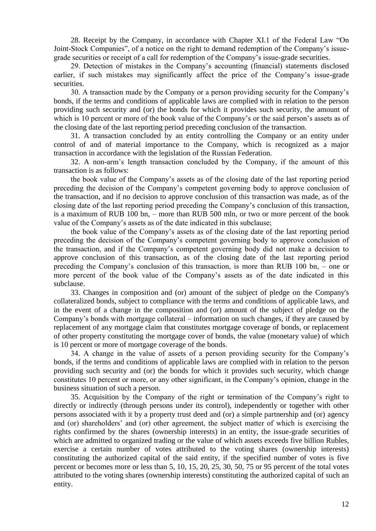28. Receipt by the Company, in accordance with [Chapter XI.1](consultantplus://offline/ref=F37EE921AB031DAD7F6A15770A15882680112875772150235BD0ED1FA5AF5F666554D3C9s6d3K) of the Federal Law "On Joint-Stock Companies", of a notice on the right to demand redemption of the Company's issuegrade securities or receipt of a call for redemption of the Company's issue-grade securities.

29. Detection of mistakes in the Company's accounting (financial) statements disclosed earlier, if such mistakes may significantly affect the price of the Company's issue-grade securities.

30. A transaction made by the Company or a person providing security for the Company's bonds, if the terms and conditions of applicable laws are complied with in relation to the person providing such security and (or) the bonds for which it provides such security, the amount of which is 10 percent or more of the book value of the Company's or the said person's assets as of the closing date of the last reporting period preceding conclusion of the transaction.

31. A transaction concluded by an entity controlling the Company or an entity under control of and of material importance to the Company, which is recognized as a major transaction in accordance with the legislation of the Russian Federation.

32. A non-arm's length transaction concluded by the Company, if the amount of this transaction is as follows:

the book value of the Company's assets as of the closing date of the last reporting period preceding the decision of the Company's competent governing body to approve conclusion of the transaction, and if no decision to approve conclusion of this transaction was made, as of the closing date of the last reporting period preceding the Company's conclusion of this transaction, is a maximum of RUB 100 bn, – more than RUB 500 mln, or two or more percent of the book value of the Company's assets as of the date indicated in this subclause;

the book value of the Company's assets as of the closing date of the last reporting period preceding the decision of the Company's competent governing body to approve conclusion of the transaction, and if the Company's competent governing body did not make a decision to approve conclusion of this transaction, as of the closing date of the last reporting period preceding the Company's conclusion of this transaction, is more than RUB 100 bn, – one or more percent of the book value of the Company's assets as of the date indicated in this subclause.

33. Changes in composition and (or) amount of the subject of pledge on the Company's collateralized bonds, subject to compliance with the terms and conditions of applicable laws, and in the event of a change in the composition and (or) amount of the subject of pledge on the Company's bonds with mortgage collateral – information on such changes, if they are caused by replacement of any mortgage claim that constitutes mortgage coverage of bonds, or replacement of other property constituting the mortgage cover of bonds, the value (monetary value) of which is 10 percent or more of mortgage coverage of the bonds.

34. A change in the value of assets of a person providing security for the Company's bonds, if the terms and conditions of applicable laws are complied with in relation to the person providing such security and (or) the bonds for which it provides such security, which change constitutes 10 percent or more, or any other significant, in the Company's opinion, change in the business situation of such a person.

35. Acquisition by the Company of the right or termination of the Company's right to directly or indirectly (through persons under its control), independently or together with other persons associated with it by a property trust deed and (or) a simple partnership and (or) agency and (or) shareholders' and (or) other agreement, the subject matter of which is exercising the rights confirmed by the shares (ownership interests) in an entity, the issue-grade securities of which are admitted to organized trading or the value of which assets exceeds five billion Rubles, exercise a certain number of votes attributed to the voting shares (ownership interests) constituting the authorized capital of the said entity, if the specified number of votes is five percent or becomes more or less than 5, 10, 15, 20, 25, 30, 50, 75 or 95 percent of the total votes attributed to the voting shares (ownership interests) constituting the authorized capital of such an entity.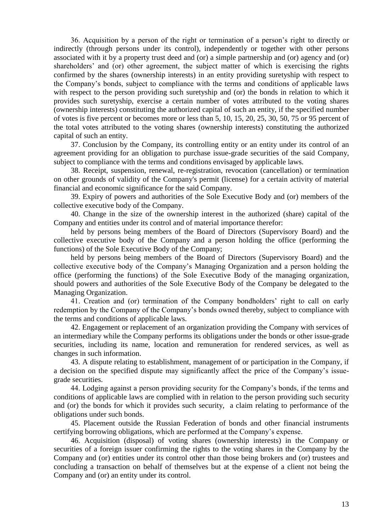36. Acquisition by a person of the right or termination of a person's right to directly or indirectly (through persons under its control), independently or together with other persons associated with it by a property trust deed and (or) a simple partnership and (or) agency and (or) shareholders' and (or) other agreement, the subject matter of which is exercising the rights confirmed by the shares (ownership interests) in an entity providing suretyship with respect to the Company's bonds, subject to compliance with the terms and conditions of applicable laws with respect to the person providing such suretyship and (or) the bonds in relation to which it provides such suretyship, exercise a certain number of votes attributed to the voting shares (ownership interests) constituting the authorized capital of such an entity, if the specified number of votes is five percent or becomes more or less than 5, 10, 15, 20, 25, 30, 50, 75 or 95 percent of the total votes attributed to the voting shares (ownership interests) constituting the authorized capital of such an entity.

37. Conclusion by the Company, its controlling entity or an entity under its control of an agreement providing for an obligation to purchase issue-grade securities of the said Company, subject to compliance with the terms and conditions envisaged by applicable laws.

38. Receipt, suspension, renewal, re-registration, revocation (cancellation) or termination on other grounds of validity of the Company's permit (license) for a certain activity of material financial and economic significance for the said Company.

39. Expiry of powers and authorities of the Sole Executive Body and (or) members of the collective executive body of the Company.

40. Change in the size of the ownership interest in the authorized (share) capital of the Company and entities under its control and of material importance therefor:

held by persons being members of the Board of Directors (Supervisory Board) and the collective executive body of the Company and a person holding the office (performing the functions) of the Sole Executive Body of the Company;

held by persons being members of the Board of Directors (Supervisory Board) and the collective executive body of the Company's Managing Organization and a person holding the office (performing the functions) of the Sole Executive Body of the managing organization, should powers and authorities of the Sole Executive Body of the Company be delegated to the Managing Organization.

41. Creation and (or) termination of the Company bondholders' right to call on early redemption by the Company of the Company's bonds owned thereby, subject to compliance with the terms and conditions of applicable laws.

42. Engagement or replacement of an organization providing the Company with services of an intermediary while the Company performs its obligations under the bonds or other issue-grade securities, including its name, location and remuneration for rendered services, as well as changes in such information.

43. A dispute relating to establishment, management of or participation in the Company, if a decision on the specified dispute may significantly affect the price of the Company's issuegrade securities.

44. Lodging against a person providing security for the Company's bonds, if the terms and conditions of applicable laws are complied with in relation to the person providing such security and (or) the bonds for which it provides such security, a claim relating to performance of the obligations under such bonds.

45. Placement outside the Russian Federation of bonds and other financial instruments certifying borrowing obligations, which are performed at the Company's expense.

46. Acquisition (disposal) of voting shares (ownership interests) in the Company or securities of a foreign issuer confirming the rights to the voting shares in the Company by the Company and (or) entities under its control other than those being brokers and (or) trustees and concluding a transaction on behalf of themselves but at the expense of a client not being the Company and (or) an entity under its control.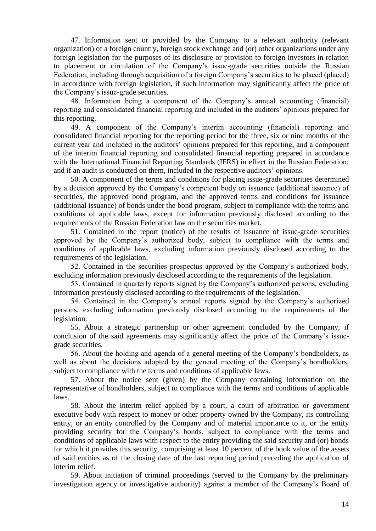47. Information sent or provided by the Company to a relevant authority (relevant organization) of a foreign country, foreign stock exchange and (or) other organizations under any foreign legislation for the purposes of its disclosure or provision to foreign investors in relation to placement or circulation of the Company's issue-grade securities outside the Russian Federation, including through acquisition of a foreign Company's securities to be placed (placed) in accordance with foreign legislation, if such information may significantly affect the price of the Company's issue-grade securities.

48. Information being a component of the Company's annual accounting (financial) reporting and consolidated financial reporting and included in the auditors' opinions prepared for this reporting.

49. A component of the Company's interim accounting (financial) reporting and consolidated financial reporting for the reporting period for the three, six or nine months of the current year and included in the auditors' opinions prepared for this reporting, and a component of the interim financial reporting and consolidated financial reporting prepared in accordance with the International Financial Reporting Standards (IFRS) in effect in the Russian Federation; and if an audit is conducted on them, included in the respective auditors' opinions.

50. A component of the terms and conditions for placing issue-grade securities determined by a decision approved by the Company's competent body on issuance (additional issuance) of securities, the approved bond program, and the approved terms and conditions for issuance (additional issuance) of bonds under the bond program, subject to compliance with the terms and conditions of applicable laws, except for information previously disclosed according to the requirements of the Russian Federation law on the securities market.

51. Contained in the report (notice) of the results of issuance of issue-grade securities approved by the Company's authorized body, subject to compliance with the terms and conditions of applicable laws, excluding information previously disclosed according to the requirements of the legislation.

52. Contained in the securities prospectus approved by the Company's authorized body, excluding information previously disclosed according to the requirements of the legislation.

53. Contained in quarterly reports signed by the Company's authorized persons, excluding information previously disclosed according to the requirements of the legislation.

54. Contained in the Company's annual reports signed by the Company's authorized persons, excluding information previously disclosed according to the requirements of the legislation.

55. About a strategic partnership or other agreement concluded by the Company, if conclusion of the said agreements may significantly affect the price of the Company's issuegrade securities.

56. About the holding and agenda of a general meeting of the Company's bondholders, as well as about the decisions adopted by the general meeting of the Company's bondholders, subject to compliance with the terms and conditions of applicable laws.

57. About the notice sent (given) by the Company containing information on the representative of bondholders, subject to compliance with the terms and conditions of applicable laws.

58. About the interim relief applied by a court, a court of arbitration or government executive body with respect to money or other property owned by the Company, its controlling entity, or an entity controlled by the Company and of material importance to it, or the entity providing security for the Company's bonds, subject to compliance with the terms and conditions of applicable laws with respect to the entity providing the said security and (or) bonds for which it provides this security, comprising at least 10 percent of the book value of the assets of said entities as of the closing date of the last reporting period preceding the application of interim relief.

59. About initiation of criminal proceedings (served to the Company by the preliminary investigation agency or investigative authority) against a member of the Company's Board of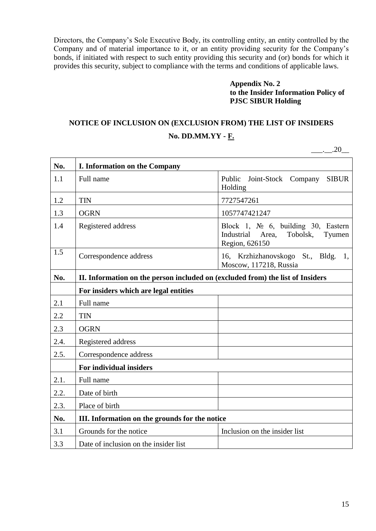Directors, the Company's Sole Executive Body, its controlling entity, an entity controlled by the Company and of material importance to it, or an entity providing security for the Company's bonds, if initiated with respect to such entity providing this security and (or) bonds for which it provides this security, subject to compliance with the terms and conditions of applicable laws.

> **Appendix No. 2 to the Insider Information Policy of PJSC SIBUR Holding**

# **NOTICE OF INCLUSION ON (EXCLUSION FROM) THE LIST OF INSIDERS No. DD.MM.YY - F.**

 $\ldots$  .20

| No.  | I. Information on the Company                                                  |                                                                                                                      |
|------|--------------------------------------------------------------------------------|----------------------------------------------------------------------------------------------------------------------|
| 1.1  | Full name                                                                      | Joint-Stock Company<br>Public<br><b>SIBUR</b><br>Holding                                                             |
| 1.2  | <b>TIN</b>                                                                     | 7727547261                                                                                                           |
| 1.3  | <b>OGRN</b>                                                                    | 1057747421247                                                                                                        |
| 1.4  | Registered address                                                             | Block 1, $\mathbb{N}^{\circ}$ 6, building 30, Eastern<br>Industrial<br>Area,<br>Tobolsk,<br>Tyumen<br>Region, 626150 |
| 1.5  | Correspondence address                                                         | 16, Krzhizhanovskogo St., Bldg. 1,<br>Moscow, 117218, Russia                                                         |
| No.  | II. Information on the person included on (excluded from) the list of Insiders |                                                                                                                      |
|      | For insiders which are legal entities                                          |                                                                                                                      |
| 2.1  | Full name                                                                      |                                                                                                                      |
| 2.2  | <b>TIN</b>                                                                     |                                                                                                                      |
| 2.3  | <b>OGRN</b>                                                                    |                                                                                                                      |
| 2.4. | Registered address                                                             |                                                                                                                      |
| 2.5. | Correspondence address                                                         |                                                                                                                      |
|      | For individual insiders                                                        |                                                                                                                      |
| 2.1. | Full name                                                                      |                                                                                                                      |
| 2.2. | Date of birth                                                                  |                                                                                                                      |
| 2.3. | Place of birth                                                                 |                                                                                                                      |
| No.  | III. Information on the grounds for the notice                                 |                                                                                                                      |
| 3.1  | Grounds for the notice                                                         | Inclusion on the insider list                                                                                        |
| 3.3  | Date of inclusion on the insider list                                          |                                                                                                                      |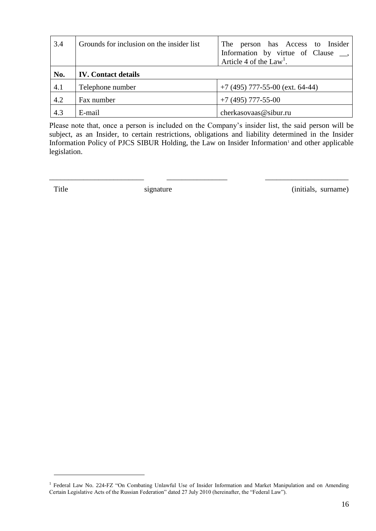| 3.4 | Grounds for inclusion on the insider list | The person has Access to Insider<br>Information by virtue of Clause __,<br>Article 4 of the $Law1$ . |
|-----|-------------------------------------------|------------------------------------------------------------------------------------------------------|
| No. | <b>IV.</b> Contact details                |                                                                                                      |
| 4.1 | Telephone number                          | $+7$ (495) 777-55-00 (ext. 64-44)                                                                    |
| 4.2 | Fax number                                | $+7$ (495) 777-55-00                                                                                 |
| 4.3 | E-mail                                    | cherkasovaas@sibur.ru                                                                                |

Please note that, once a person is included on the Company's insider list, the said person will be subject, as an Insider, to certain restrictions, obligations and liability determined in the Insider Information Policy of PJCS SIBUR Holding, the Law on Insider Information<sup>1</sup> and other applicable legislation.

\_\_\_\_\_\_\_\_\_\_\_\_\_\_\_\_\_\_\_\_\_\_\_\_\_ \_\_\_\_\_\_\_\_\_\_\_\_\_\_\_\_ \_\_\_\_\_\_\_\_\_\_\_\_\_\_\_\_\_\_\_\_\_\_

<u>.</u>

Title signature (initials, surname)

<sup>&</sup>lt;sup>1</sup> Federal Law No. 224-FZ "On Combating Unlawful Use of Insider Information and Market Manipulation and on Amending Certain Legislative Acts of the Russian Federation" dated 27 July 2010 (hereinafter, the "Federal Law").